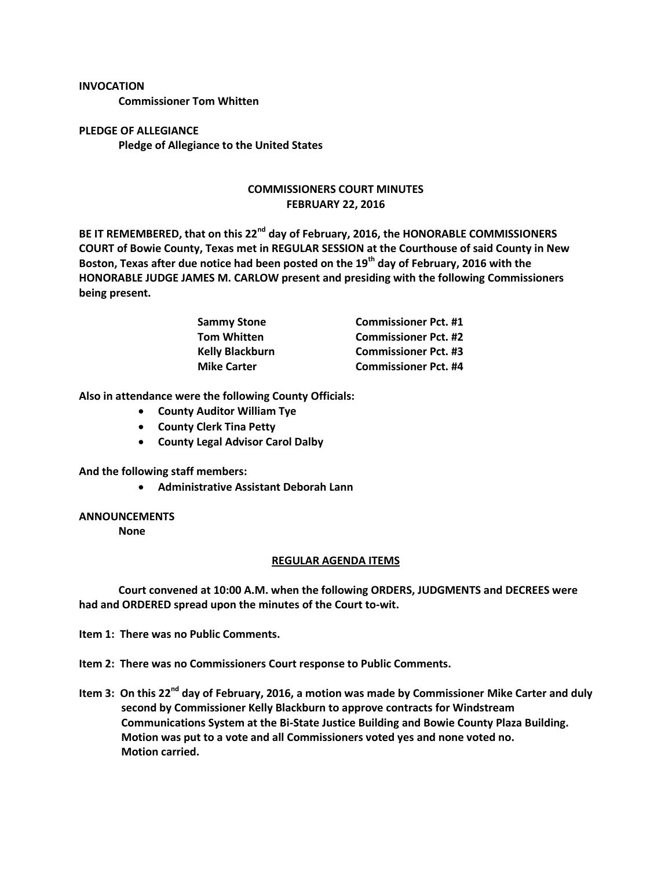## **INVOCATION**

**Commissioner Tom Whitten**

**PLEDGE OF ALLEGIANCE Pledge of Allegiance to the United States**

## **COMMISSIONERS COURT MINUTES FEBRUARY 22, 2016**

**BE IT REMEMBERED, that on this 22nd day of February, 2016, the HONORABLE COMMISSIONERS COURT of Bowie County, Texas met in REGULAR SESSION at the Courthouse of said County in New Boston, Texas after due notice had been posted on the 19th day of February, 2016 with the HONORABLE JUDGE JAMES M. CARLOW present and presiding with the following Commissioners being present.**

| <b>Sammy Stone</b><br>Tom Whitten | <b>Commissioner Pct. #1</b> |
|-----------------------------------|-----------------------------|
|                                   | <b>Commissioner Pct. #2</b> |
| <b>Kelly Blackburn</b>            | <b>Commissioner Pct. #3</b> |
| <b>Mike Carter</b>                | <b>Commissioner Pct. #4</b> |

**Also in attendance were the following County Officials:**

- **County Auditor William Tye**
- **County Clerk Tina Petty**
- **County Legal Advisor Carol Dalby**

**And the following staff members:**

**Administrative Assistant Deborah Lann**

## **ANNOUNCEMENTS**

**None**

## **REGULAR AGENDA ITEMS**

**Court convened at 10:00 A.M. when the following ORDERS, JUDGMENTS and DECREES were had and ORDERED spread upon the minutes of the Court to-wit.**

**Item 1: There was no Public Comments.**

**Item 2: There was no Commissioners Court response to Public Comments.**

**Item 3: On this 22nd day of February, 2016, a motion was made by Commissioner Mike Carter and duly second by Commissioner Kelly Blackburn to approve contracts for Windstream Communications System at the Bi-State Justice Building and Bowie County Plaza Building. Motion was put to a vote and all Commissioners voted yes and none voted no. Motion carried.**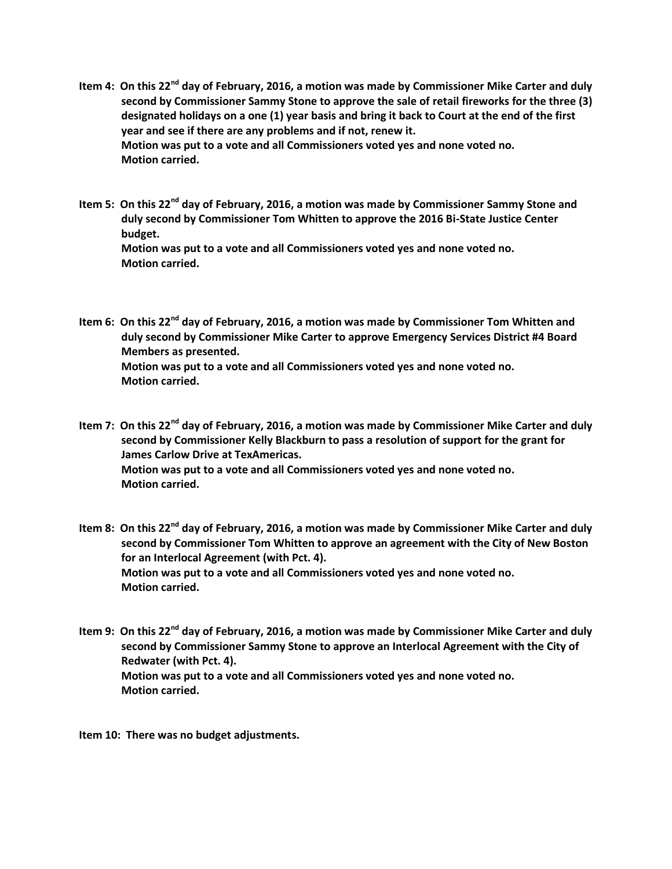- **Item 4: On this 22nd day of February, 2016, a motion was made by Commissioner Mike Carter and duly second by Commissioner Sammy Stone to approve the sale of retail fireworks for the three (3) designated holidays on a one (1) year basis and bring it back to Court at the end of the first year and see if there are any problems and if not, renew it. Motion was put to a vote and all Commissioners voted yes and none voted no. Motion carried.**
- **Item 5: On this 22nd day of February, 2016, a motion was made by Commissioner Sammy Stone and duly second by Commissioner Tom Whitten to approve the 2016 Bi-State Justice Center budget. Motion was put to a vote and all Commissioners voted yes and none voted no. Motion carried.**
- **Item 6: On this 22nd day of February, 2016, a motion was made by Commissioner Tom Whitten and duly second by Commissioner Mike Carter to approve Emergency Services District #4 Board Members as presented. Motion was put to a vote and all Commissioners voted yes and none voted no. Motion carried.**
- **Item 7: On this 22nd day of February, 2016, a motion was made by Commissioner Mike Carter and duly second by Commissioner Kelly Blackburn to pass a resolution of support for the grant for James Carlow Drive at TexAmericas. Motion was put to a vote and all Commissioners voted yes and none voted no. Motion carried.**
- **Item 8: On this 22nd day of February, 2016, a motion was made by Commissioner Mike Carter and duly second by Commissioner Tom Whitten to approve an agreement with the City of New Boston for an Interlocal Agreement (with Pct. 4). Motion was put to a vote and all Commissioners voted yes and none voted no. Motion carried.**
- **Item 9: On this 22nd day of February, 2016, a motion was made by Commissioner Mike Carter and duly second by Commissioner Sammy Stone to approve an Interlocal Agreement with the City of Redwater (with Pct. 4). Motion was put to a vote and all Commissioners voted yes and none voted no. Motion carried.**

**Item 10: There was no budget adjustments.**